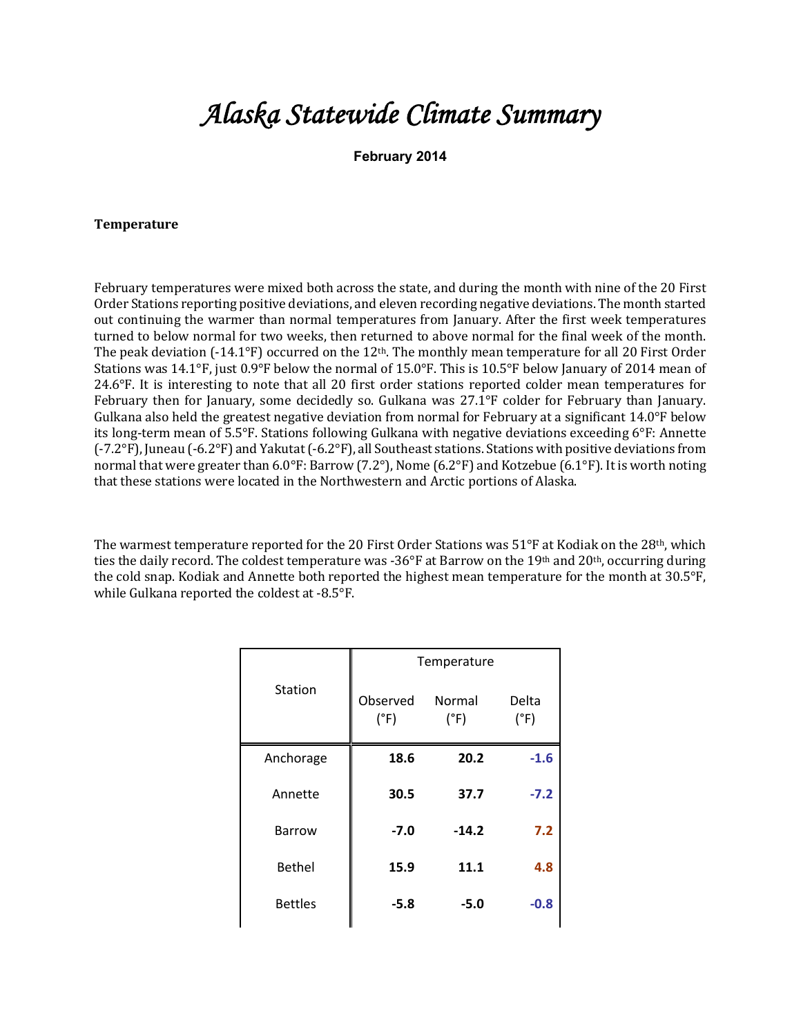## *Alaska Statewide Climate Summary*

**February 2014**

## **Temperature**

February temperatures were mixed both across the state, and during the month with nine of the 20 First Order Stations reporting positive deviations, and eleven recording negative deviations. The month started out continuing the warmer than normal temperatures from January. After the first week temperatures turned to below normal for two weeks, then returned to above normal for the final week of the month. The peak deviation  $(-14.1^{\circ}F)$  occurred on the 12<sup>th</sup>. The monthly mean temperature for all 20 First Order Stations was 14.1°F, just  $0.9$ °F below the normal of 15.0°F. This is 10.5°F below January of 2014 mean of 24.6°F. It is interesting to note that all 20 first order stations reported colder mean temperatures for February then for January, some decidedly so. Gulkana was  $27.1^{\circ}F$  colder for February than January. Gulkana also held the greatest negative deviation from normal for February at a significant  $14.0^{\circ}$ F below its long-term mean of  $5.5^{\circ}$ F. Stations following Gulkana with negative deviations exceeding  $6^{\circ}$ F: Annette  $(-7.2^{\circ}F)$ , Juneau  $(-6.2^{\circ}F)$  and Yakutat  $(-6.2^{\circ}F)$ , all Southeast stations. Stations with positive deviations from normal that were greater than  $6.0^{\circ}$ F: Barrow (7.2°), Nome (6.2°F) and Kotzebue (6.1°F). It is worth noting that these stations were located in the Northwestern and Arctic portions of Alaska.

The warmest temperature reported for the 20 First Order Stations was  $51^{\circ}F$  at Kodiak on the 28<sup>th</sup>, which ties the daily record. The coldest temperature was -36°F at Barrow on the 19<sup>th</sup> and 20<sup>th</sup>, occurring during the cold snap. Kodiak and Annette both reported the highest mean temperature for the month at 30.5°F, while Gulkana reported the coldest at  $-8.5^{\circ}F$ .

|                | Temperature               |                |               |  |  |
|----------------|---------------------------|----------------|---------------|--|--|
| Station        | Observed<br>$(^{\circ}F)$ | Normal<br>(°F) | Delta<br>(°F) |  |  |
| Anchorage      | 18.6                      | 20.2           | $-1.6$        |  |  |
| Annette        | 30.5                      | 37.7           | $-7.2$        |  |  |
| Barrow         | $-7.0$                    | $-14.2$        | 7.2           |  |  |
| <b>Bethel</b>  | 15.9                      | 11.1           | 4.8           |  |  |
| <b>Bettles</b> | $-5.8$                    | $-5.0$         | $-0.8$        |  |  |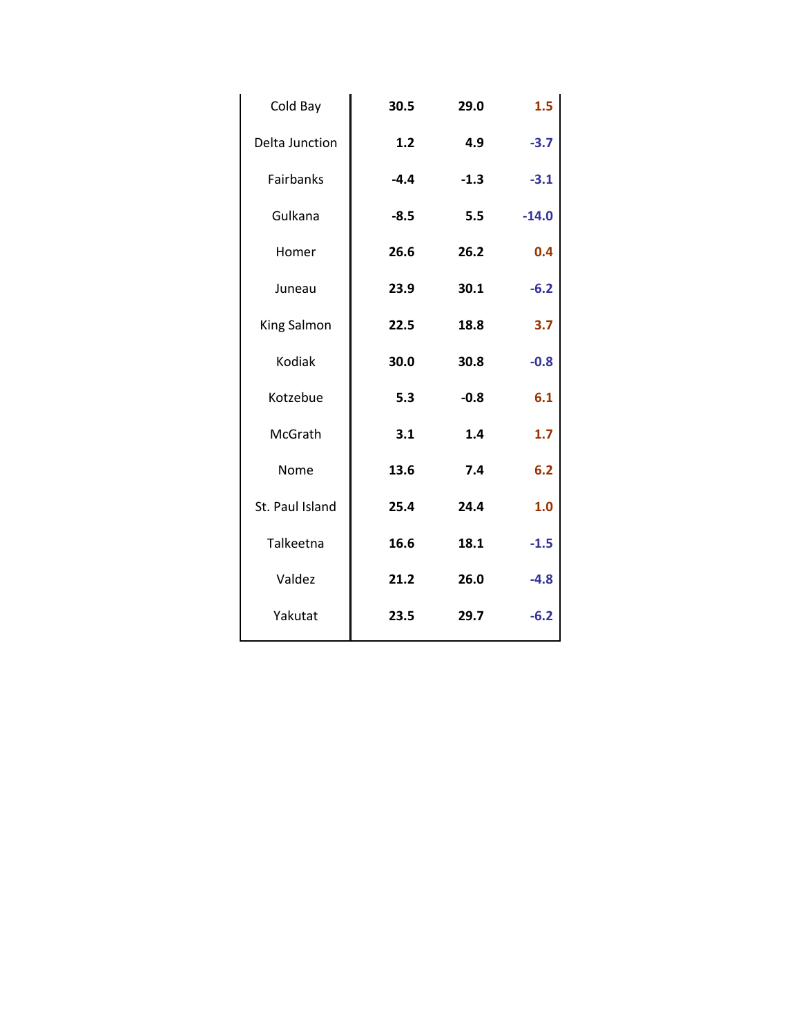| Cold Bay              | 30.5   | 29.0   | 1.5     |
|-----------------------|--------|--------|---------|
| <b>Delta Junction</b> | 1.2    | 4.9    | $-3.7$  |
| Fairbanks             | $-4.4$ | $-1.3$ | $-3.1$  |
| Gulkana               | $-8.5$ | 5.5    | $-14.0$ |
| Homer                 | 26.6   | 26.2   | 0.4     |
| Juneau                | 23.9   | 30.1   | $-6.2$  |
| King Salmon           | 22.5   | 18.8   | 3.7     |
| Kodiak                | 30.0   | 30.8   | $-0.8$  |
| Kotzebue              | 5.3    | $-0.8$ | 6.1     |
| McGrath               | 3.1    | 1.4    | 1.7     |
| Nome                  | 13.6   | 7.4    | 6.2     |
| St. Paul Island       | 25.4   | 24.4   | 1.0     |
| Talkeetna             | 16.6   | 18.1   | $-1.5$  |
| Valdez                | 21.2   | 26.0   | $-4.8$  |
| Yakutat               | 23.5   | 29.7   | $-6.2$  |
|                       |        |        |         |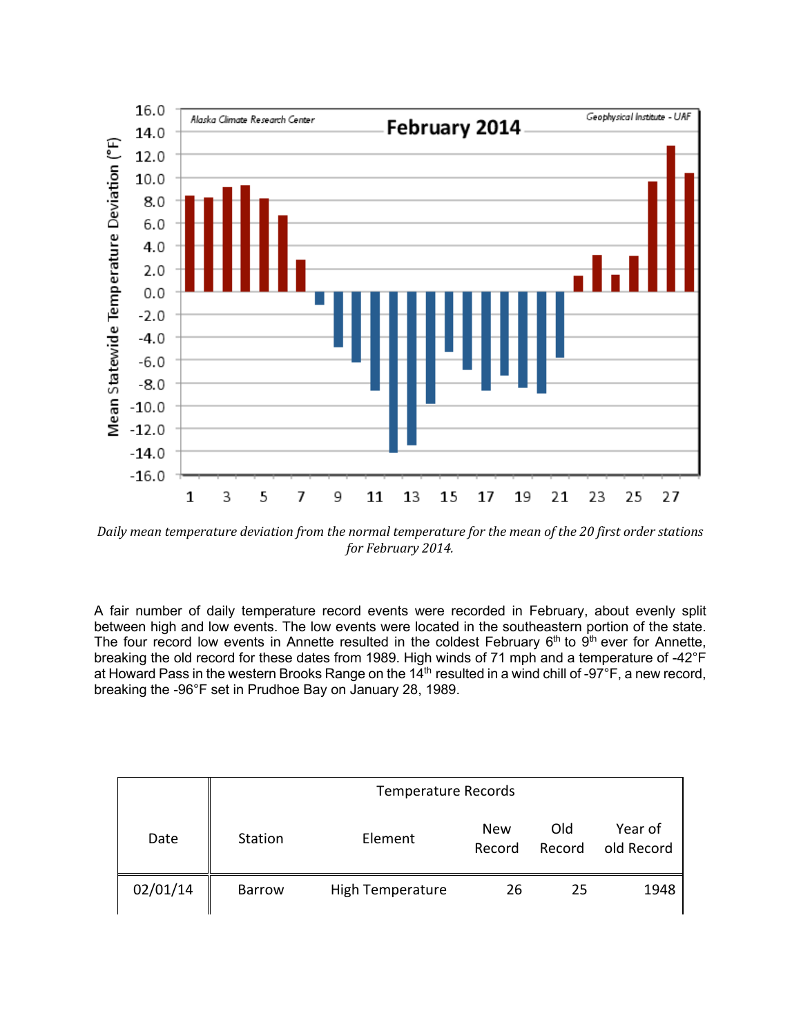

Daily mean temperature deviation from the normal temperature for the mean of the 20 first order stations for February 2014.

A fair number of daily temperature record events were recorded in February, about evenly split between high and low events. The low events were located in the southeastern portion of the state. The four record low events in Annette resulted in the coldest February  $6<sup>th</sup>$  to  $9<sup>th</sup>$  ever for Annette, breaking the old record for these dates from 1989. High winds of 71 mph and a temperature of -42°F at Howard Pass in the western Brooks Range on the  $14<sup>th</sup>$  resulted in a wind chill of -97°F, a new record, breaking the -96°F set in Prudhoe Bay on January 28, 1989.

|          | <b>Temperature Records</b> |                  |                      |               |                       |  |  |
|----------|----------------------------|------------------|----------------------|---------------|-----------------------|--|--|
| Date     | Station                    | Element          | <b>New</b><br>Record | Old<br>Record | Year of<br>old Record |  |  |
| 02/01/14 | <b>Barrow</b>              | High Temperature | 26                   | 25            | 1948                  |  |  |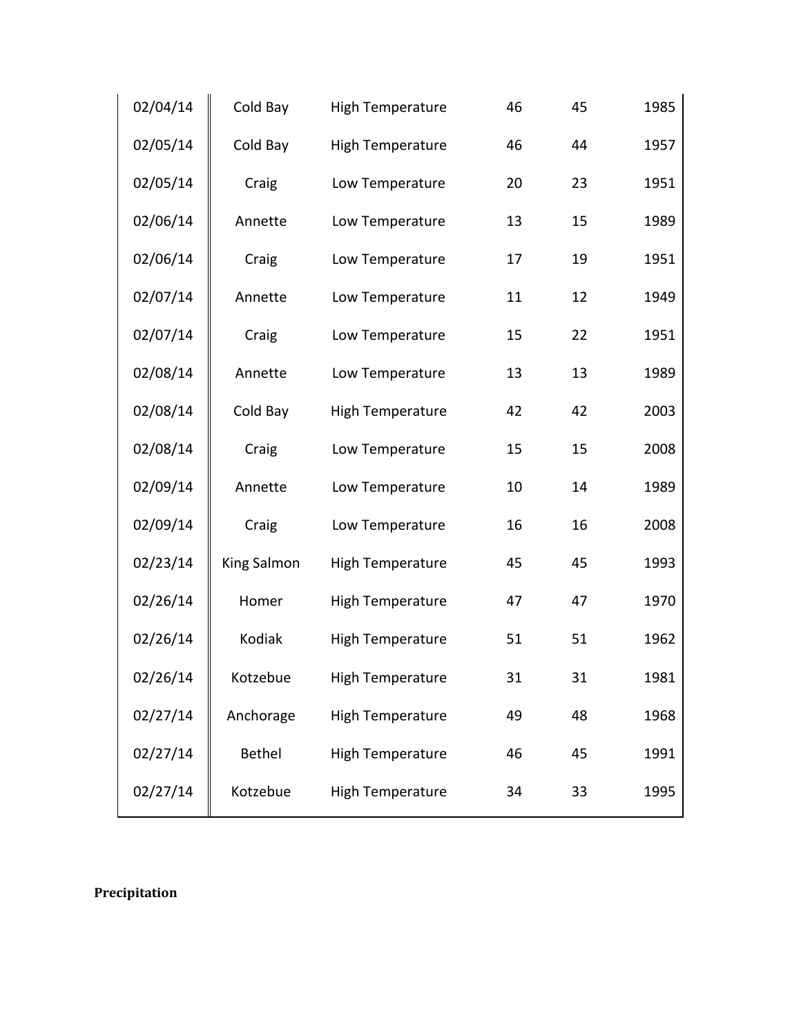| 02/04/14 | Cold Bay    | <b>High Temperature</b> | 46 | 45 | 1985 |
|----------|-------------|-------------------------|----|----|------|
| 02/05/14 | Cold Bay    | <b>High Temperature</b> | 46 | 44 | 1957 |
| 02/05/14 | Craig       | Low Temperature         | 20 | 23 | 1951 |
| 02/06/14 | Annette     | Low Temperature         | 13 | 15 | 1989 |
| 02/06/14 | Craig       | Low Temperature         | 17 | 19 | 1951 |
| 02/07/14 | Annette     | Low Temperature         | 11 | 12 | 1949 |
| 02/07/14 | Craig       | Low Temperature         | 15 | 22 | 1951 |
| 02/08/14 | Annette     | Low Temperature         | 13 | 13 | 1989 |
| 02/08/14 | Cold Bay    | <b>High Temperature</b> | 42 | 42 | 2003 |
| 02/08/14 | Craig       | Low Temperature         | 15 | 15 | 2008 |
| 02/09/14 | Annette     | Low Temperature         | 10 | 14 | 1989 |
| 02/09/14 | Craig       | Low Temperature         | 16 | 16 | 2008 |
| 02/23/14 | King Salmon | <b>High Temperature</b> | 45 | 45 | 1993 |
| 02/26/14 | Homer       | <b>High Temperature</b> | 47 | 47 | 1970 |
| 02/26/14 | Kodiak      | <b>High Temperature</b> | 51 | 51 | 1962 |
| 02/26/14 | Kotzebue    | <b>High Temperature</b> | 31 | 31 | 1981 |
| 02/27/14 | Anchorage   | <b>High Temperature</b> | 49 | 48 | 1968 |
| 02/27/14 | Bethel      | <b>High Temperature</b> | 46 | 45 | 1991 |
| 02/27/14 | Kotzebue    | <b>High Temperature</b> | 34 | 33 | 1995 |

**Precipitation**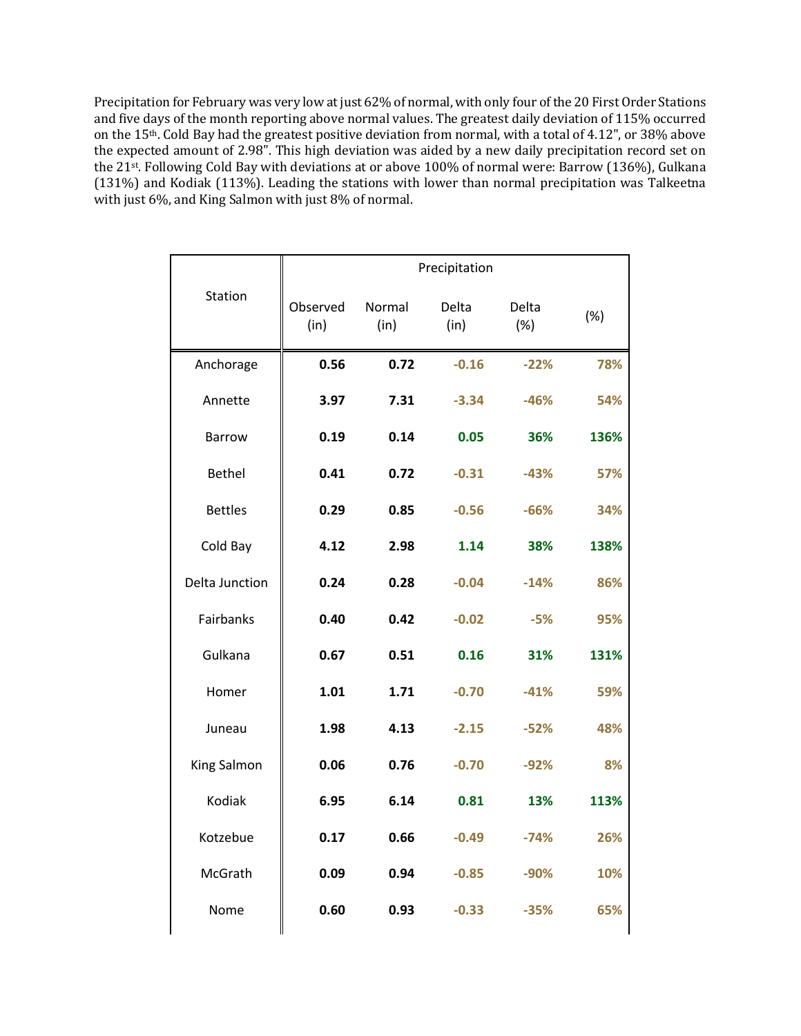Precipitation for February was very low at just 62% of normal, with only four of the 20 First Order Stations and five days of the month reporting above normal values. The greatest daily deviation of 115% occurred on the 15<sup>th</sup>. Cold Bay had the greatest positive deviation from normal, with a total of 4.12", or 38% above the expected amount of 2.98". This high deviation was aided by a new daily precipitation record set on the 21<sup>st</sup>. Following Cold Bay with deviations at or above 100% of normal were: Barrow (136%), Gulkana (131%) and Kodiak (113%). Leading the stations with lower than normal precipitation was Talkeetna with just 6%, and King Salmon with just 8% of normal.

|                |                  |                | Precipitation |              |      |
|----------------|------------------|----------------|---------------|--------------|------|
| Station        | Observed<br>(in) | Normal<br>(in) | Delta<br>(in) | Delta<br>(%) | (%)  |
| Anchorage      | 0.56             | 0.72           | $-0.16$       | $-22%$       | 78%  |
| Annette        | 3.97             | 7.31           | $-3.34$       | $-46%$       | 54%  |
| <b>Barrow</b>  | 0.19             | 0.14           | 0.05          | 36%          | 136% |
| <b>Bethel</b>  | 0.41             | 0.72           | $-0.31$       | $-43%$       | 57%  |
| <b>Bettles</b> | 0.29             | 0.85           | $-0.56$       | $-66%$       | 34%  |
| Cold Bay       | 4.12             | 2.98           | 1.14          | 38%          | 138% |
| Delta Junction | 0.24             | 0.28           | $-0.04$       | $-14%$       | 86%  |
| Fairbanks      | 0.40             | 0.42           | $-0.02$       | $-5%$        | 95%  |
| Gulkana        | 0.67             | 0.51           | 0.16          | 31%          | 131% |
| Homer          | 1.01             | 1.71           | $-0.70$       | $-41%$       | 59%  |
| Juneau         | 1.98             | 4.13           | $-2.15$       | $-52%$       | 48%  |
| King Salmon    | 0.06             | 0.76           | $-0.70$       | $-92%$       | 8%   |
| Kodiak         | 6.95             | 6.14           | 0.81          | 13%          | 113% |
| Kotzebue       | 0.17             | 0.66           | $-0.49$       | $-74%$       | 26%  |
| McGrath        | 0.09             | 0.94           | $-0.85$       | $-90%$       | 10%  |
| Nome           | 0.60             | 0.93           | $-0.33$       | $-35%$       | 65%  |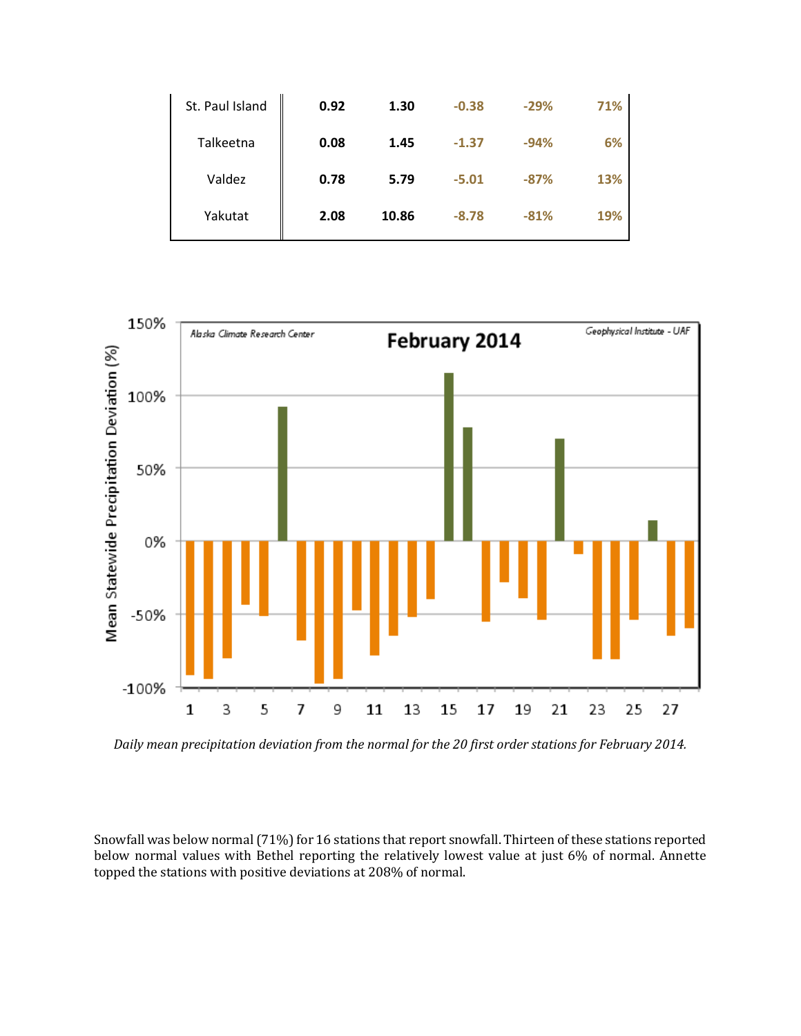| St. Paul Island | 0.92 | 1.30  | $-0.38$ | $-29%$ | 71% |
|-----------------|------|-------|---------|--------|-----|
| Talkeetna       | 0.08 | 1.45  | $-1.37$ | $-94%$ | 6%  |
| Valdez          | 0.78 | 5.79  | $-5.01$ | $-87%$ | 13% |
| Yakutat         | 2.08 | 10.86 | $-8.78$ | $-81%$ | 19% |



Daily mean precipitation deviation from the normal for the 20 first order stations for February 2014.

Snowfall was below normal (71%) for 16 stations that report snowfall. Thirteen of these stations reported below normal values with Bethel reporting the relatively lowest value at just 6% of normal. Annette topped the stations with positive deviations at 208% of normal.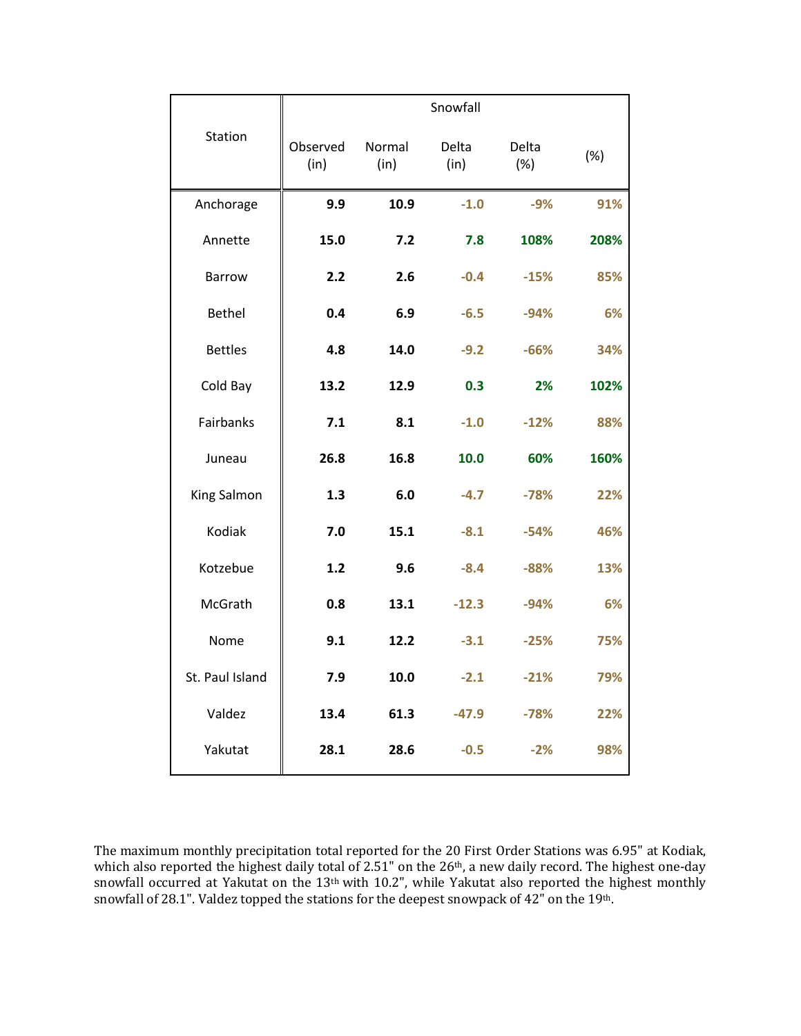|                 |                  |                | Snowfall      |              |      |
|-----------------|------------------|----------------|---------------|--------------|------|
| Station         | Observed<br>(in) | Normal<br>(in) | Delta<br>(in) | Delta<br>(%) | (%)  |
| Anchorage       | 9.9              | 10.9           | $-1.0$        | $-9%$        | 91%  |
| Annette         | 15.0             | 7.2            | 7.8           | 108%         | 208% |
| <b>Barrow</b>   | 2.2              | 2.6            | $-0.4$        | $-15%$       | 85%  |
| <b>Bethel</b>   | 0.4              | 6.9            | $-6.5$        | $-94%$       | 6%   |
| <b>Bettles</b>  | 4.8              | 14.0           | $-9.2$        | $-66%$       | 34%  |
| Cold Bay        | 13.2             | 12.9           | 0.3           | 2%           | 102% |
| Fairbanks       | 7.1              | 8.1            | $-1.0$        | $-12%$       | 88%  |
| Juneau          | 26.8             | 16.8           | 10.0          | 60%          | 160% |
| King Salmon     | 1.3              | 6.0            | $-4.7$        | $-78%$       | 22%  |
| Kodiak          | 7.0              | 15.1           | $-8.1$        | $-54%$       | 46%  |
| Kotzebue        | 1.2              | 9.6            | $-8.4$        | $-88%$       | 13%  |
| McGrath         | 0.8              | 13.1           | $-12.3$       | $-94%$       | 6%   |
| Nome            | 9.1              | 12.2           | $-3.1$        | $-25%$       | 75%  |
| St. Paul Island | 7.9              | 10.0           | $-2.1$        | $-21%$       | 79%  |
| Valdez          | 13.4             | 61.3           | $-47.9$       | $-78%$       | 22%  |
| Yakutat         | 28.1             | 28.6           | $-0.5$        | $-2%$        | 98%  |

The maximum monthly precipitation total reported for the 20 First Order Stations was 6.95" at Kodiak, which also reported the highest daily total of 2.51" on the 26<sup>th</sup>, a new daily record. The highest one-day snowfall occurred at Yakutat on the  $13<sup>th</sup>$  with  $10.2$ ", while Yakutat also reported the highest monthly snowfall of 28.1". Valdez topped the stations for the deepest snowpack of  $42"$  on the  $19<sup>th</sup>$ .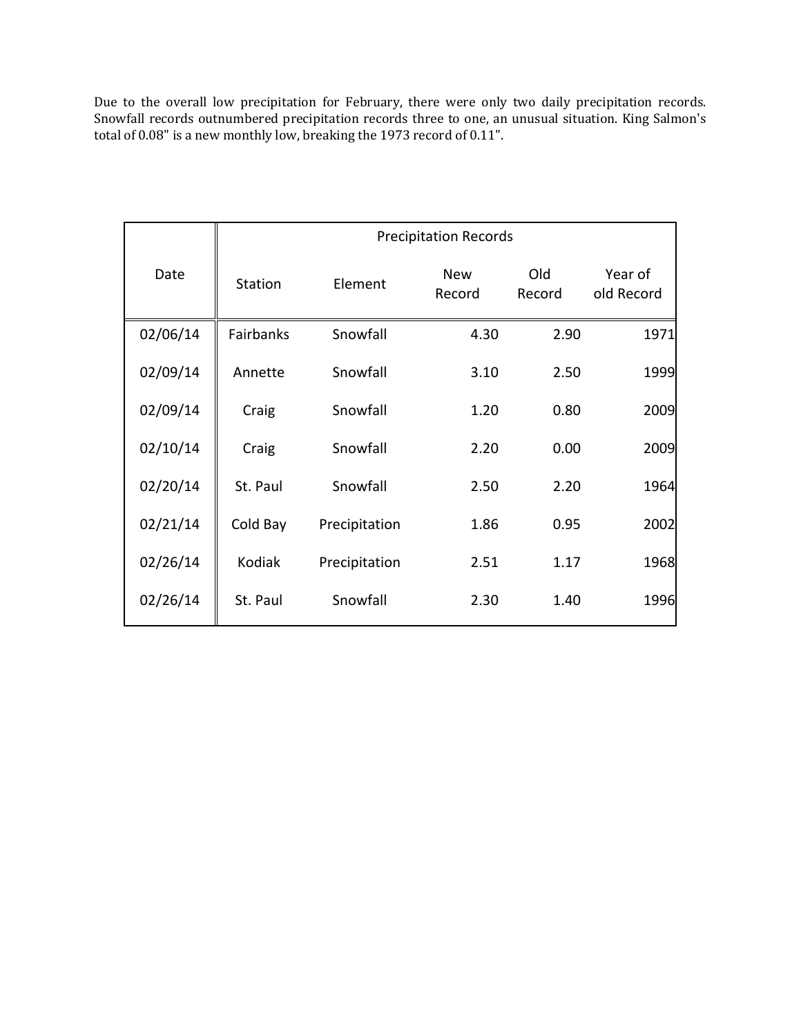Due to the overall low precipitation for February, there were only two daily precipitation records. Snowfall records outnumbered precipitation records three to one, an unusual situation. King Salmon's total of 0.08" is a new monthly low, breaking the 1973 record of 0.11".

|          | <b>Precipitation Records</b> |               |                      |               |                       |  |
|----------|------------------------------|---------------|----------------------|---------------|-----------------------|--|
| Date     | Station                      | Element       | <b>New</b><br>Record | Old<br>Record | Year of<br>old Record |  |
| 02/06/14 | Fairbanks                    | Snowfall      | 4.30                 | 2.90          | 1971                  |  |
| 02/09/14 | Annette                      | Snowfall      | 3.10                 | 2.50          | 1999                  |  |
| 02/09/14 | Craig                        | Snowfall      | 1.20                 | 0.80          | 2009                  |  |
| 02/10/14 | Craig                        | Snowfall      | 2.20                 | 0.00          | 2009                  |  |
| 02/20/14 | St. Paul                     | Snowfall      | 2.50                 | 2.20          | 1964                  |  |
| 02/21/14 | Cold Bay                     | Precipitation | 1.86                 | 0.95          | 2002                  |  |
| 02/26/14 | Kodiak                       | Precipitation | 2.51                 | 1.17          | 1968                  |  |
| 02/26/14 | St. Paul                     | Snowfall      | 2.30                 | 1.40          | 1996                  |  |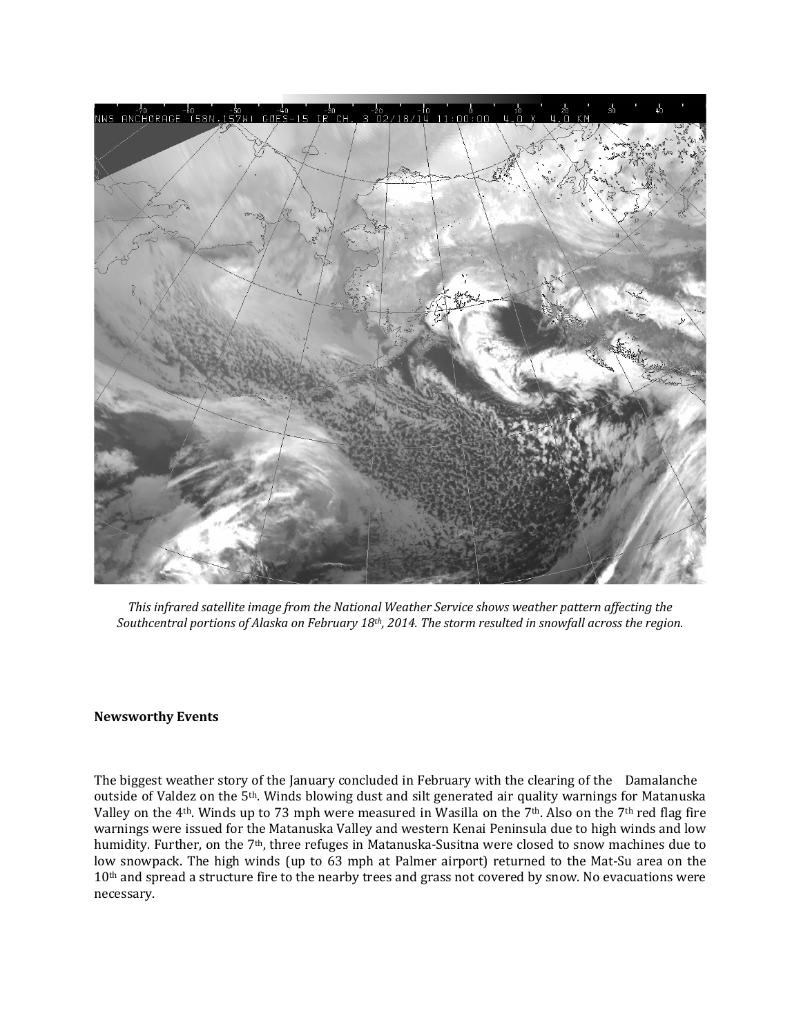

This infrared satellite image from the National Weather Service shows weather pattern affecting the Southcentral portions of Alaska on February 18<sup>th</sup>, 2014. The storm resulted in snowfall across the region.

## **Newsworthy Events**

The biggest weather story of the January concluded in February with the clearing of the Damalanche outside of Valdez on the 5<sup>th</sup>. Winds blowing dust and silt generated air quality warnings for Matanuska Valley on the 4<sup>th</sup>. Winds up to 73 mph were measured in Wasilla on the 7<sup>th</sup>. Also on the 7<sup>th</sup> red flag fire warnings were issued for the Matanuska Valley and western Kenai Peninsula due to high winds and low humidity. Further, on the 7<sup>th</sup>, three refuges in Matanuska-Susitna were closed to snow machines due to low snowpack. The high winds (up to 63 mph at Palmer airport) returned to the Mat-Su area on the 10<sup>th</sup> and spread a structure fire to the nearby trees and grass not covered by snow. No evacuations were necessary.